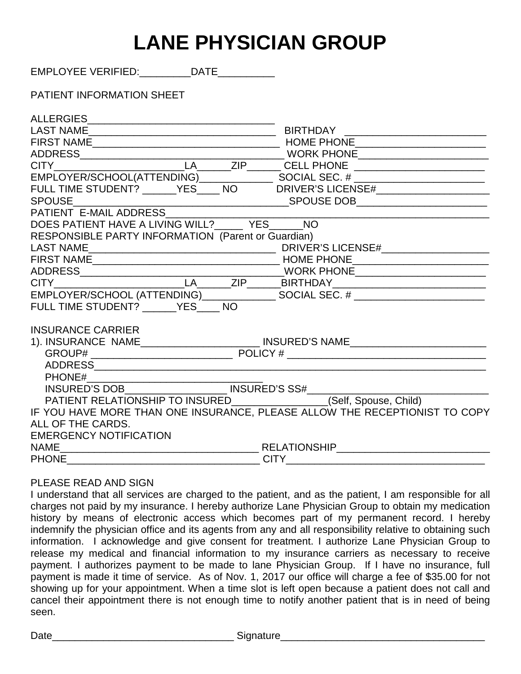# **LANE PHYSICIAN GROUP**

EMPLOYEE VERIFIED:\_\_\_\_\_\_\_\_\_DATE\_\_\_\_\_\_\_\_\_\_

# PATIENT INFORMATION SHEET

| FULL TIME STUDENT? _____YES____ NO DRIVER'S LICENSE#____________________         |  |
|----------------------------------------------------------------------------------|--|
|                                                                                  |  |
|                                                                                  |  |
| DOES PATIENT HAVE A LIVING WILL?_______ YES______ NO                             |  |
| RESPONSIBLE PARTY INFORMATION (Parent or Guardian)                               |  |
|                                                                                  |  |
|                                                                                  |  |
|                                                                                  |  |
|                                                                                  |  |
|                                                                                  |  |
| FULL TIME STUDENT? ______ YES ____ NO                                            |  |
| <b>INSURANCE CARRIER</b>                                                         |  |
| 1). INSURANCE NAME___________________________ INSURED'S NAME____________________ |  |
|                                                                                  |  |
|                                                                                  |  |
|                                                                                  |  |
|                                                                                  |  |
|                                                                                  |  |
| IF YOU HAVE MORE THAN ONE INSURANCE, PLEASE ALLOW THE RECEPTIONIST TO COPY       |  |
| ALL OF THE CARDS.                                                                |  |
| <b>EMERGENCY NOTIFICATION</b>                                                    |  |
|                                                                                  |  |
| <b>PHONE</b>                                                                     |  |

#### PLEASE READ AND SIGN

I understand that all services are charged to the patient, and as the patient, I am responsible for all charges not paid by my insurance. I hereby authorize Lane Physician Group to obtain my medication history by means of electronic access which becomes part of my permanent record. I hereby indemnify the physician office and its agents from any and all responsibility relative to obtaining such information. I acknowledge and give consent for treatment. I authorize Lane Physician Group to release my medical and financial information to my insurance carriers as necessary to receive payment. I authorizes payment to be made to lane Physician Group. If I have no insurance, full payment is made it time of service. As of Nov. 1, 2017 our office will charge a fee of \$35.00 for not showing up for your appointment. When a time slot is left open because a patient does not call and cancel their appointment there is not enough time to notify another patient that is in need of being seen.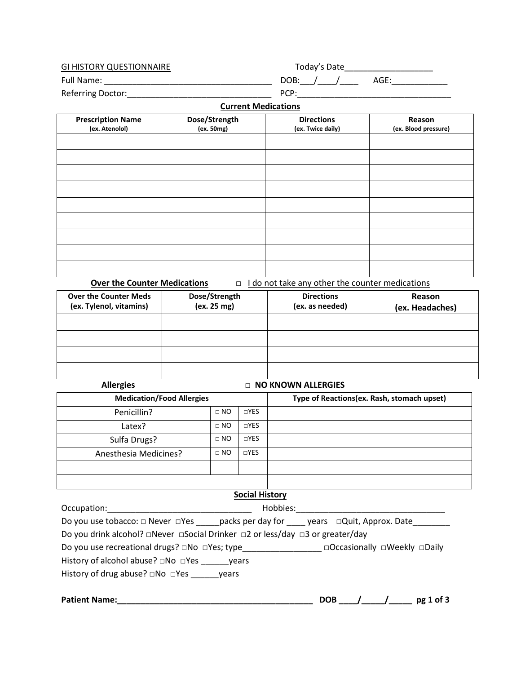| <b>GI HISTORY QUESTIONNAIRE</b> | Today's Date |  |  |  |
|---------------------------------|--------------|--|--|--|
| <b>Full Name:</b>               | DOB:<br>AGE  |  |  |  |
| <b>Referring Doctor:</b>        | PCP:         |  |  |  |

#### **Current Medications**

| <b>Prescription Name</b> | Dose/Strength | <b>Directions</b> | Reason               |
|--------------------------|---------------|-------------------|----------------------|
| (ex. Atenolol)           | (ex. 50mg)    | (ex. Twice daily) | (ex. Blood pressure) |
|                          |               |                   |                      |
|                          |               |                   |                      |
|                          |               |                   |                      |
|                          |               |                   |                      |
|                          |               |                   |                      |
|                          |               |                   |                      |
|                          |               |                   |                      |
|                          |               |                   |                      |
|                          |               |                   |                      |
|                          |               |                   |                      |

**Over the Counter Medications** □ I do not take any other the counter medications

| <b>Over the Counter Meds</b><br>(ex. Tylenol, vitamins) | Dose/Strength<br>(ex. 25 mg) | <b>Directions</b><br>(ex. as needed) | Reason<br>(ex. Headaches) |
|---------------------------------------------------------|------------------------------|--------------------------------------|---------------------------|
|                                                         |                              |                                      |                           |
|                                                         |                              |                                      |                           |
|                                                         |                              |                                      |                           |
|                                                         |                              |                                      |                           |

| <b>Allergies</b>      | <b>NO KNOWN ALLERGIES</b>        |            |                                            |  |
|-----------------------|----------------------------------|------------|--------------------------------------------|--|
|                       | <b>Medication/Food Allergies</b> |            | Type of Reactions(ex. Rash, stomach upset) |  |
| Penicillin?           | $\Box$ NO                        | $\Box$ YES |                                            |  |
| Latex?                | $\Box$ NO                        | $\Box$ YES |                                            |  |
| Sulfa Drugs?          | $\Box$ NO                        | $\Box$ YES |                                            |  |
| Anesthesia Medicines? | $\Box$ NO                        | $\Box$ YES |                                            |  |
|                       |                                  |            |                                            |  |
|                       |                                  |            |                                            |  |

#### **Social History**

| Occupation:                                                                                                           | Hobbies:                     |
|-----------------------------------------------------------------------------------------------------------------------|------------------------------|
| Do you use tobacco: $\square$ Never $\square$ Yes _______ packs per day for ______ years $\square$ Quit, Approx. Date |                              |
| Do you drink alcohol? □Never □Social Drinker □2 or less/day □3 or greater/day                                         |                              |
| Do you use recreational drugs? □No □Yes; type                                                                         | □Occasionally □Weekly □Daily |
|                                                                                                                       |                              |
| History of drug abuse? $\square$ No $\square$ Yes years                                                               |                              |
|                                                                                                                       |                              |
| <b>Patient Name:</b>                                                                                                  | <b>DOB</b><br>pg 1 of 3      |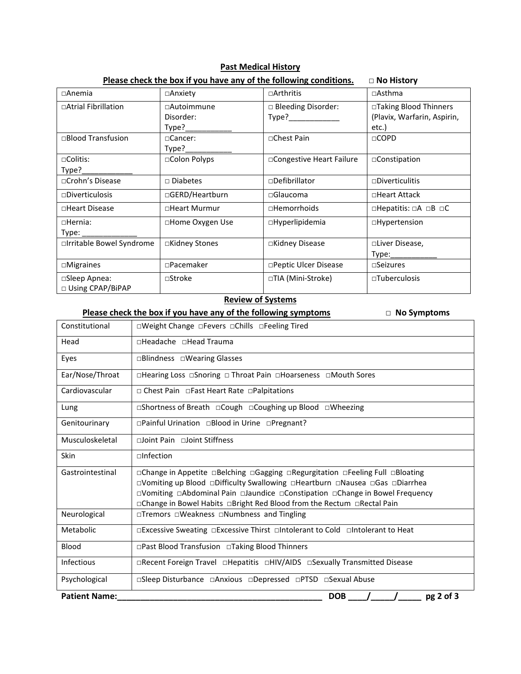| $\Box$ Anemia                       | $\Box$ Anxiety                    | $\Box$ Arthritis              | $\Box$ Asthma                                                  |
|-------------------------------------|-----------------------------------|-------------------------------|----------------------------------------------------------------|
| □Atrial Fibrillation                | □Autoimmune<br>Disorder:<br>Type? | □ Bleeding Disorder:<br>Type? | □Taking Blood Thinners<br>(Plavix, Warfarin, Aspirin,<br>etc.) |
| □Blood Transfusion                  | $\Box$ Cancer:<br>Type?           | □Chest Pain                   | $\Box$ COPD                                                    |
| $\Box$ Colitis:<br>Type?            | □Colon Polyps                     | □ Congestive Heart Failure    | □Constipation                                                  |
| □Crohn's Disease                    | $\Box$ Diabetes                   | □Defibrillator                | $\square$ Diverticulitis                                       |
| $\square$ Diverticulosis            | □GERD/Heartburn                   | $\square$ Glaucoma            | □Heart Attack                                                  |
| □Heart Disease                      | □Heart Murmur                     | $\square$ Hemorrhoids         | $\square$ Hepatitis: $\square A \square B \square C$           |
| $\Box$ Hernia:<br>Type:             | □Home Oxygen Use                  | $\Box$ Hyperlipidemia         | $\Box$ Hypertension                                            |
| □Irritable Bowel Syndrome           | □Kidney Stones                    | □Kidney Disease               | □Liver Disease,<br>Type: Type:                                 |
| $\Box$ Migraines                    | □Pacemaker                        | □Peptic Ulcer Disease         | $\square$ Seizures                                             |
| □Sleep Apnea:<br>□ Using CPAP/BiPAP | $\square$ Stroke                  | □TIA (Mini-Stroke)            | $\Box$ Tuberculosis                                            |

#### **Past Medical History Please check the box if you have any of the following conditions.** □ **No History**

#### **Review of Systems**

 **Please check the box if you have any of the following symptoms** □ **No Symptoms** Constitutional □Weight Change □Fevers □Chills □Feeling Tired Head **□Headache** □Head Trauma Eyes | □Blindness □Wearing Glasses Ear/Nose/Throat □Hearing Loss □Snoring □ Throat Pain □Hoarseness □Mouth Sores Cardiovascular □ Chest Pain □Fast Heart Rate □Palpitations Lung □Shortness of Breath □Cough □Coughing up Blood □Wheezing Genitourinary | □Painful Urination □Blood in Urine □Pregnant? Musculoskeletal □Joint Pain □Joint Stiffness Skin □Infection Gastrointestinal □ □Change in Appetite □Belching □Gagging □Regurgitation □Feeling Full □Bloating □Vomiting up Blood □Difficulty Swallowing □Heartburn □Nausea □Gas □Diarrhea □Vomiting □Abdominal Pain □Jaundice □Constipation □Change in Bowel Frequency

□Change in Bowel Habits □Bright Red Blood from the Rectum □Rectal Pain Neurological | □Tremors □Weakness □Numbness and Tingling Metabolic □Excessive Sweating □Excessive Thirst □Intolerant to Cold □Intolerant to Heat Blood **□Past Blood Transfusion** □Taking Blood Thinners Infectious □Recent Foreign Travel □Hepatitis □HIV/AIDS □Sexually Transmitted Disease Psychological □Sleep Disturbance □Anxious □Depressed □PTSD □Sexual Abuse

**Patient Name:\_\_\_\_\_\_\_\_\_\_\_\_\_\_\_\_\_\_\_\_\_\_\_\_\_\_\_\_\_\_\_\_\_\_\_\_\_\_\_\_\_\_\_\_ DOB \_\_\_\_/\_\_\_\_\_/\_\_\_\_\_ pg 2 of 3**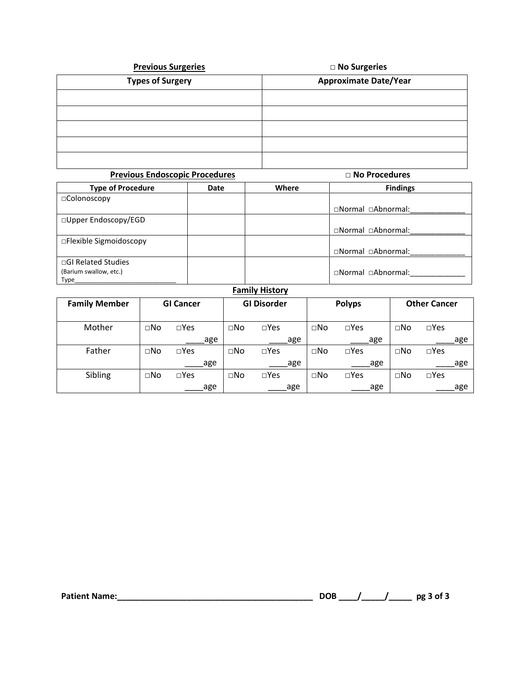| <b>Previous Surgeries</b> | □ No Surgeries               |
|---------------------------|------------------------------|
| <b>Types of Surgery</b>   | <b>Approximate Date/Year</b> |
|                           |                              |
|                           |                              |
|                           |                              |
|                           |                              |
|                           |                              |

| <b>Previous Endoscopic Procedures</b> |      |                          | $\Box$ No Procedures |  |
|---------------------------------------|------|--------------------------|----------------------|--|
| <b>Type of Procedure</b>              | Date | Where<br><b>Findings</b> |                      |  |
| $\Box$ Colonoscopy                    |      |                          |                      |  |
|                                       |      |                          | □Normal □Abnormal:   |  |
| $\Box$ Upper Endoscopy/EGD            |      |                          |                      |  |
|                                       |      |                          | □Normal □Abnormal:   |  |
| $\Box$ Flexible Sigmoidoscopy         |      |                          |                      |  |
|                                       |      |                          | □Normal □Abnormal:   |  |
| $\Box$ GI Related Studies             |      |                          |                      |  |
| (Barium swallow, etc.)                |      |                          | □Normal □Abnormal:   |  |
| Type                                  |      |                          |                      |  |

| <b>Family Member</b> |              | <b>GI Cancer</b> |     | <b>GI Disorder</b> |               | <b>Polyps</b> |               | <b>Other Cancer</b> |               |
|----------------------|--------------|------------------|-----|--------------------|---------------|---------------|---------------|---------------------|---------------|
| Mother               | $\square$ No | $\square$ Yes    |     | $\square$ No       | $\square$ Yes | $\square$ No  | $\square$ Yes | $\Box$ No           | $\square$ Yes |
|                      |              |                  | age |                    | age           |               | age           |                     | age           |
| Father               | $\square$ No | $\square$ Yes    |     | $\square$ No       | $\square$ Yes | $\square$ No  | $\square$ Yes | $\square$ No        | $\square$ Yes |
|                      |              |                  | age |                    | age           |               | age           |                     | age           |
| Sibling              | $\square$ No | $\square$ Yes    |     | $\square$ No       | $\square$ Yes | $\square$ No  | $\square$ Yes | $\square$ No        | $\square$ Yes |
|                      |              |                  | age |                    | age           |               | age           |                     | age           |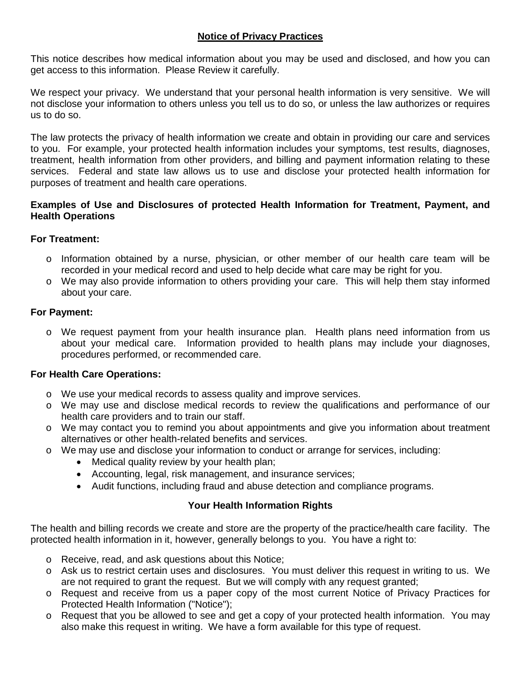# **Notice of Privacy Practices**

This notice describes how medical information about you may be used and disclosed, and how you can get access to this information. Please Review it carefully.

We respect your privacy. We understand that your personal health information is very sensitive. We will not disclose your information to others unless you tell us to do so, or unless the law authorizes or requires us to do so.

The law protects the privacy of health information we create and obtain in providing our care and services to you. For example, your protected health information includes your symptoms, test results, diagnoses, treatment, health information from other providers, and billing and payment information relating to these services. Federal and state law allows us to use and disclose your protected health information for purposes of treatment and health care operations.

#### **Examples of Use and Disclosures of protected Health Information for Treatment, Payment, and Health Operations**

# **For Treatment:**

- o Information obtained by a nurse, physician, or other member of our health care team will be recorded in your medical record and used to help decide what care may be right for you.
- o We may also provide information to others providing your care. This will help them stay informed about your care.

# **For Payment:**

o We request payment from your health insurance plan. Health plans need information from us about your medical care. Information provided to health plans may include your diagnoses, procedures performed, or recommended care.

### **For Health Care Operations:**

- o We use your medical records to assess quality and improve services.
- o We may use and disclose medical records to review the qualifications and performance of our health care providers and to train our staff.
- o We may contact you to remind you about appointments and give you information about treatment alternatives or other health-related benefits and services.
- o We may use and disclose your information to conduct or arrange for services, including:
	- Medical quality review by your health plan;
	- Accounting, legal, risk management, and insurance services;
	- Audit functions, including fraud and abuse detection and compliance programs.

# **Your Health Information Rights**

The health and billing records we create and store are the property of the practice/health care facility. The protected health information in it, however, generally belongs to you. You have a right to:

- o Receive, read, and ask questions about this Notice;
- o Ask us to restrict certain uses and disclosures. You must deliver this request in writing to us. We are not required to grant the request. But we will comply with any request granted;
- o Request and receive from us a paper copy of the most current Notice of Privacy Practices for Protected Health Information ("Notice");
- o Request that you be allowed to see and get a copy of your protected health information. You may also make this request in writing. We have a form available for this type of request.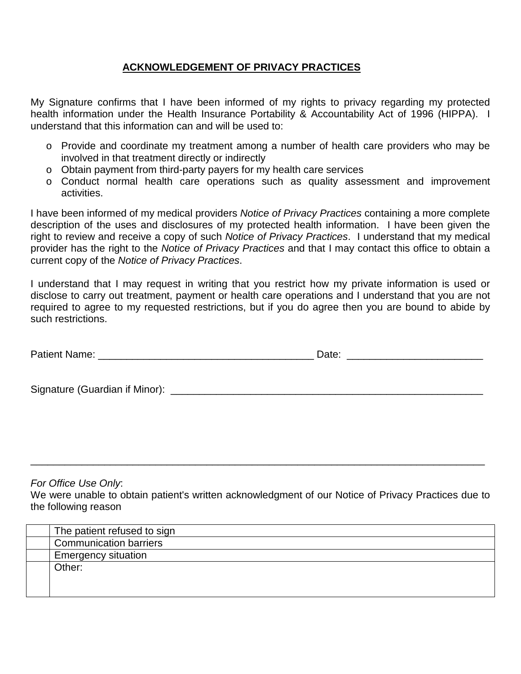# **ACKNOWLEDGEMENT OF PRIVACY PRACTICES**

My Signature confirms that I have been informed of my rights to privacy regarding my protected health information under the Health Insurance Portability & Accountability Act of 1996 (HIPPA). I understand that this information can and will be used to:

- o Provide and coordinate my treatment among a number of health care providers who may be involved in that treatment directly or indirectly
- o Obtain payment from third-party payers for my health care services
- o Conduct normal health care operations such as quality assessment and improvement activities.

I have been informed of my medical providers *Notice of Privacy Practices* containing a more complete description of the uses and disclosures of my protected health information. I have been given the right to review and receive a copy of such *Notice of Privacy Practices*. I understand that my medical provider has the right to the *Notice of Privacy Practices* and that I may contact this office to obtain a current copy of the *Notice of Privacy Practices*.

I understand that I may request in writing that you restrict how my private information is used or disclose to carry out treatment, payment or health care operations and I understand that you are not required to agree to my requested restrictions, but if you do agree then you are bound to abide by such restrictions.

| <b>Patient Name</b> |  |  |
|---------------------|--|--|
|---------------------|--|--|

Signature (Guardian if Minor): \_\_\_\_\_\_\_\_\_\_\_\_\_\_\_\_\_\_\_\_\_\_\_\_\_\_\_\_\_\_\_\_\_\_\_\_\_\_\_\_\_\_\_\_\_\_\_\_\_\_\_\_\_\_\_

*For Office Use Only*:

We were unable to obtain patient's written acknowledgment of our Notice of Privacy Practices due to the following reason

\_\_\_\_\_\_\_\_\_\_\_\_\_\_\_\_\_\_\_\_\_\_\_\_\_\_\_\_\_\_\_\_\_\_\_\_\_\_\_\_\_\_\_\_\_\_\_\_\_\_\_\_\_\_\_\_\_\_\_\_\_\_\_\_\_\_\_\_\_\_\_\_\_\_\_\_\_\_\_\_

| The patient refused to sign   |
|-------------------------------|
| <b>Communication barriers</b> |
| <b>Emergency situation</b>    |
| Other:                        |
|                               |
|                               |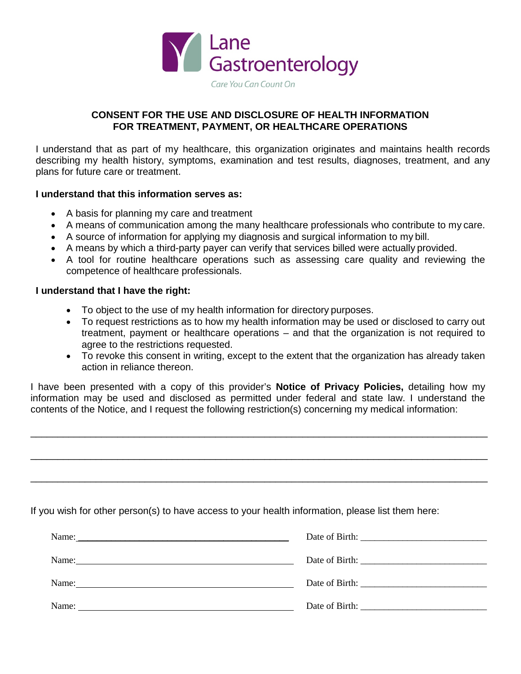

### **CONSENT FOR THE USE AND DISCLOSURE OF HEALTH INFORMATION FOR TREATMENT, PAYMENT, OR HEALTHCARE OPERATIONS**

I understand that as part of my healthcare, this organization originates and maintains health records describing my health history, symptoms, examination and test results, diagnoses, treatment, and any plans for future care or treatment.

#### **I understand that this information serves as:**

- A basis for planning my care and treatment
- A means of communication among the many healthcare professionals who contribute to my care.
- A source of information for applying my diagnosis and surgical information to my bill.
- A means by which a third-party payer can verify that services billed were actually provided.
- A tool for routine healthcare operations such as assessing care quality and reviewing the competence of healthcare professionals.

#### **I understand that I have the right:**

- To object to the use of my health information for directory purposes.
- To request restrictions as to how my health information may be used or disclosed to carry out treatment, payment or healthcare operations – and that the organization is not required to agree to the restrictions requested.
- To revoke this consent in writing, except to the extent that the organization has already taken action in reliance thereon.

I have been presented with a copy of this provider's **Notice of Privacy Policies,** detailing how my information may be used and disclosed as permitted under federal and state law. I understand the contents of the Notice, and I request the following restriction(s) concerning my medical information:

\_\_\_\_\_\_\_\_\_\_\_\_\_\_\_\_\_\_\_\_\_\_\_\_\_\_\_\_\_\_\_\_\_\_\_\_\_\_\_\_\_\_\_\_\_\_\_\_\_\_\_\_\_\_\_\_\_\_\_\_\_\_\_\_\_\_\_\_\_\_\_\_\_\_\_\_\_\_\_\_\_\_\_\_

\_\_\_\_\_\_\_\_\_\_\_\_\_\_\_\_\_\_\_\_\_\_\_\_\_\_\_\_\_\_\_\_\_\_\_\_\_\_\_\_\_\_\_\_\_\_\_\_\_\_\_\_\_\_\_\_\_\_\_\_\_\_\_\_\_\_\_\_\_\_\_\_\_\_\_\_\_\_\_\_\_\_\_\_

\_\_\_\_\_\_\_\_\_\_\_\_\_\_\_\_\_\_\_\_\_\_\_\_\_\_\_\_\_\_\_\_\_\_\_\_\_\_\_\_\_\_\_\_\_\_\_\_\_\_\_\_\_\_\_\_\_\_\_\_\_\_\_\_\_\_\_\_\_\_\_\_\_\_\_\_\_\_\_\_\_\_\_\_

If you wish for other person(s) to have access to your health information, please list them here:

| Name:<br><u> 1989 - Johann Stoff, amerikansk politiker (d. 1989)</u> |  |
|----------------------------------------------------------------------|--|
| Name:                                                                |  |
| Name:                                                                |  |
| Name:                                                                |  |